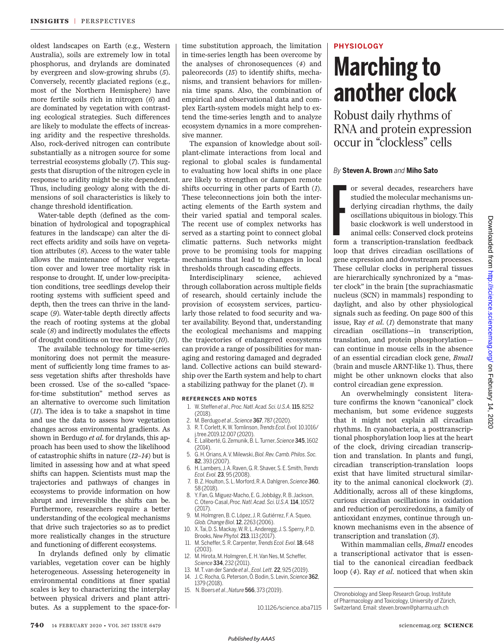oldest landscapes on Earth (e.g., Western Australia), soils are extremely low in total phosphorus, and drylands are dominated by evergreen and slow-growing shrubs (*5*). Conversely, recently glaciated regions (e.g., most of the Northern Hemisphere) have more fertile soils rich in nitrogen (*6*) and are dominated by vegetation with contrasting ecological strategies. Such differences are likely to modulate the effects of increasing aridity and the respective thresholds. Also, rock-derived nitrogen can contribute substantially as a nitrogen source for some terrestrial ecosystems globally (*7*). This suggests that disruption of the nitrogen cycle in response to aridity might be site dependent. Thus, including geology along with the dimensions of soil characteristics is likely to change threshold identification.

Water-table depth (defined as the combination of hydrological and topographical features in the landscape) can alter the direct effects aridity and soils have on vegetation attributes (*8*). Access to the water table allows the maintenance of higher vegetation cover and lower tree mortality risk in response to drought. If, under low-precipitation conditions, tree seedlings develop their rooting systems with sufficient speed and depth, then the trees can thrive in the landscape (*9*). Water-table depth directly affects the reach of rooting systems at the global scale (*8*) and indirectly modulates the effects of drought conditions on tree mortality (*10*).

The available technology for time-series monitoring does not permit the measurement of sufficiently long time frames to assess vegetation shifts after thresholds have been crossed. Use of the so-called "spacefor-time substitution" method serves as an alternative to overcome such limitation (*11*). The idea is to take a snapshot in time and use the data to assess how vegetation changes across environmental gradients. As shown in Berdugo *et al*. for drylands, this approach has been used to show the likelihood of catastrophic shifts in nature (*12*–*14*) but is limited in assessing how and at what speed shifts can happen. Scientists must map the trajectories and pathways of changes in ecosystems to provide information on how abrupt and irreversible the shifts can be. Furthermore, researchers require a better understanding of the ecological mechanisms that drive such trajectories so as to predict more realistically changes in the structure and functioning of different ecosystems.

In drylands defined only by climatic variables, vegetation cover can be highly heterogeneous. Assessing heterogeneity in environmental conditions at finer spatial scales is key to characterizing the interplay between physical drivers and plant attributes. As a supplement to the space-fortime substitution approach, the limitation in time-series length has been overcome by the analyses of chronosequences (*4*) and paleorecords (*15*) to identify shifts, mechanisms, and transient behaviors for millennia time spans. Also, the combination of empirical and observational data and complex Earth-system models might help to extend the time-series length and to analyze ecosystem dynamics in a more comprehensive manner.

The expansion of knowledge about soilplant-climate interactions from local and regional to global scales is fundamental to evaluating how local shifts in one place are likely to strengthen or dampen remote shifts occurring in other parts of Earth (*1*). These teleconnections join both the interacting elements of the Earth system and their varied spatial and temporal scales. The recent use of complex networks has served as a starting point to connect global climatic patterns. Such networks might prove to be promising tools for mapping mechanisms that lead to changes in local thresholds through cascading effects.

Interdisciplinary science, achieved through collaboration across multiple fields of research, should certainly include the provision of ecosystem services, particularly those related to food security and water availability. Beyond that, understanding the ecological mechanisms and mapping the trajectories of endangered ecosystems can provide a range of possibilities for managing and restoring damaged and degraded land. Collective actions can build stewardship over the Earth system and help to chart a stabilizing pathway for the planet  $(I)$ .

#### **REFERENCES AND NOTES**

- 1. W. Steffen *et al*., *Proc. Natl. Acad. Sci. U.S.A.*115, 8252 (2018).
- 2. M. Berdugo *et al*., *Science* 367, 787 (2020).
- 3. R. T. Corlett, K. W. Tomlinson, *Trends Ecol. Evol.* 10.1016/ j.tree.2019.12.007 (2020).
- 4. E. Laliberté, G. Zemunik, B. L. Turner, *Science* 345, 1602  $(2014)$
- 5. G. H. Orians, A. V. Milewski, *Biol. Rev. Camb. Philos. Soc.* 82, 393 (2007).
- 6. H. Lambers, J. A. Raven, G. R. Shaver, S. E. Smith, *Trends Ecol. Evol.* 23, 95 (2008).
- 7. B. Z. Houlton, S. L. Morford, R. A. Dahlgren, *Science* 360, 58 (2018).
- 8. Y. Fan, G. Miguez-Macho, E. G. Jobbágy, R. B. Jackson, C. Otero-Casal, *Proc. Natl. Acad. Sci. U.S.A.*114, 10572 (2017).
- 9. M. Holmgren, B. C. López, J. R. Gutiérrez, F. A. Squeo, *Glob. Change Biol.*12, 2263 (2006).
- 10. X. Tai, D. S. Mackay, W. R. L. Anderegg, J. S. Sperry, P. D. Brooks, *New Phytol.* 213, 113 (2017).
- 11. M. Scheffer, S. R. Carpenter, *Trends Ecol. Evol.*18, 648 (2003).
- 12. M. Hirota, M. Holmgren, E. H. Van Nes, M. Scheffer, *Science* 334, 232 (2011).
- 13. M. T. van der Sande *et al*., *Ecol. Lett.* 22, 925 (2019).
- 14. J. C. Rocha, G. Peterson, Ö. Bodin, S. Levin, *Science* 362, 1379 (2018).

10.1126/science.aba7115

15. N. Boers *et al*., *Nature* 566, 373 (2019).

## **PHYSIOLOGY**

# **Marching to another clock**

Robust daily rhythms of RNA and protein expression occur in "clockless" cells

### *By* **Steven A. Brown** *and* **Miho Sato**

or several decades, researchers have<br>studied the molecular mechanisms un-<br>derlying circadian rhythms, the daily<br>oscillations ubiquitous in biology. This<br>basic clockwork is well understood in<br>animal cells: Conserved clock p studied the molecular mechanisms underlying circadian rhythms, the daily oscillations ubiquitous in biology. This basic clockwork is well understood in animal cells: Conserved clock proteins form a transcription-translation feedback loop that drives circadian oscillations of gene expression and downstream processes. These cellular clocks in peripheral tissues are hierarchically synchronized by a "master clock" in the brain [the suprachiasmatic nucleus (SCN) in mammals] responding to daylight, and also by other physiological signals such as feeding. On page 800 of this issue, Ray *et al*. (*1*) demonstrate that many circadian oscillations—in transcription, translation, and protein phosphorylation can continue in mouse cells in the absence of an essential circadian clock gene, *Bmal1* (brain and muscle ARNT-like 1). Thus, there might be other unknown clocks that also control circadian gene expression.

An overwhelmingly consistent literature confirms the known "canonical" clock mechanism, but some evidence suggests that it might not explain all circadian rhythms. In cyanobacteria, a posttranscriptional phosphorylation loop lies at the heart of the clock, driving circadian transcription and translation. In plants and fungi, circadian transcription-translation loops exist that have limited structural similarity to the animal canonical clockwork (*2*). Additionally, across all of these kingdoms, curious circadian oscillations in oxidation and reduction of peroxiredoxins, a family of antioxidant enzymes, continue through unknown mechanisms even in the absence of transcription and translation (*3*).

Within mammalian cells, *Bmal1* encodes a transcriptional activator that is essential to the canonical circadian feedback loop (*4*). Ray *et al*. noticed that when skin

Chronobiology and Sleep Research Group, Institute of Pharmacology and Toxicology, University of Zürich, Switzerland. Email: steven.brown@pharma.uzh.ch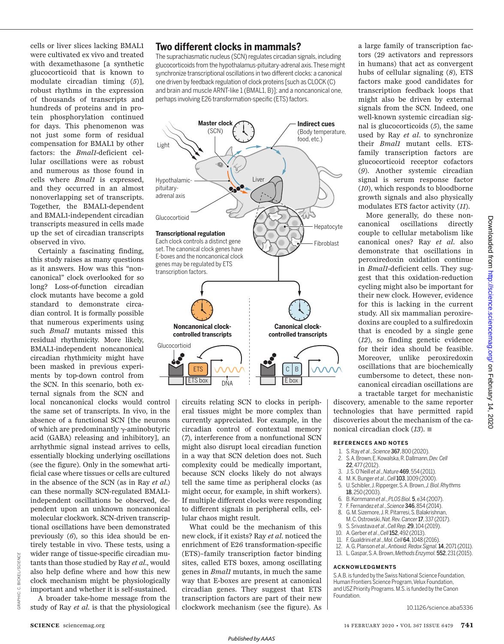cells or liver slices lacking BMAL1 were cultivated ex vivo and treated with dexamethasone [a synthetic glucocorticoid that is known to modulate circadian timing (*5*)], robust rhythms in the expression of thousands of transcripts and hundreds of proteins and in protein phosphorylation continued for days. This phenomenon was not just some form of residual compensation for BMAL1 by other factors: the *Bmal1-*deficient cellular oscillations were as robust and numerous as those found in cells where *Bmal1* is expressed, and they occurred in an almost nonoverlapping set of transcripts. Together, the BMAL1-dependent and BMAL1-independent circadian transcripts measured in cells made up the set of circadian transcripts observed in vivo.

Certainly a fascinating finding, this study raises as many questions as it answers. How was this "noncanonical" clock overlooked for so long? Loss-of-function circadian clock mutants have become a gold standard to demonstrate circadian control. It is formally possible that numerous experiments using such *Bmal1* mutants missed this residual rhythmicity. More likely, BMAL1-independent noncanonical circadian rhythmicity might have been masked in previous experiments by top-down control from the SCN. In this scenario, both external signals from the SCN and

local noncanonical clocks would control the same set of transcripts. In vivo, in the absence of a functional SCN [the neurons of which are predominantly  $\gamma$ -aminobutyric acid (GABA) releasing and inhibitory], an arrhythmic signal instead arrives to cells, essentially blocking underlying oscillations (see the figure). Only in the somewhat artificial case where tissues or cells are cultured in the absence of the SCN (as in Ray *et al*.) can these normally SCN-regulated BMAL1 independent oscillations be observed, dependent upon an unknown noncanonical molecular clockwork. SCN-driven transcriptional oscillations have been demonstrated previously (*6*), so this idea should be entirely testable in vivo. These tests, using a wider range of tissue-specific circadian mutants than those studied by Ray *et al*., would also help define where and how this new clock mechanism might be physiologically important and whether it is self-sustained.

A broader take-home message from the study of Ray *et al*. is that the physiological

## **Two different clocks in mammals?**

The suprachiasmatic nucleus (SCN) regulates circadian signals, including glucocorticoids from the hypothalamus-pituitary-adrenal axis. These might synchronize transcriptional oscillations in two different clocks: a canonical one driven by feedback regulation of clock proteins [such as CLOCK (C) and brain and muscle ARNT-like 1 (BMAL1, B)]; and a noncanonical one, perhaps involving E26 transformation-specific (ETS) factors.



circuits relating SCN to clocks in peripheral tissues might be more complex than currently appreciated. For example, in the circadian control of contextual memory (*7*), interference from a nonfunctional SCN might also disrupt local circadian function in a way that SCN deletion does not. Such complexity could be medically important, because SCN clocks likely do not always tell the same time as peripheral clocks (as might occur, for example, in shift workers). If multiple different clocks were responding to different signals in peripheral cells, cellular chaos might result.

What could be the mechanism of this new clock, if it exists? Ray *et al*. noticed the enrichment of E26 transformation-specific (ETS)–family transcription factor binding sites, called ETS boxes, among oscillating genes in *Bmal1* mutants, in much the same way that E-boxes are present at canonical circadian genes. They suggest that ETS transcription factors are part of their new clockwork mechanism (see the figure). As a large family of transcription factors (29 activators and repressors in humans) that act as convergent hubs of cellular signaling (*8*), ETS factors make good candidates for transcription feedback loops that might also be driven by external signals from the SCN. Indeed, one well-known systemic circadian signal is glucocorticoids (*5*), the same used by Ray *et al*. to synchronize their *Bmal1* mutant cells. ETSfamily transcription factors are glucocorticoid receptor cofactors (*9*). Another systemic circadian signal is serum response factor (*10*), which responds to bloodborne growth signals and also physically modulates ETS factor activity (*11*).

More generally, do these noncanonical oscillations directly couple to cellular metabolism like canonical ones? Ray *et al*. also demonstrate that oscillations in peroxiredoxin oxidation continue in *Bmal1*-deficient cells. They suggest that this oxidation-reduction cycling might also be important for their new clock. However, evidence for this is lacking in the current study. All six mammalian peroxiredoxins are coupled to a sulfiredoxin that is encoded by a single gene (*12*), so finding genetic evidence for their idea should be feasible. Moreover, unlike peroxiredoxin oscillations that are biochemically cumbersome to detect, these noncanonical circadian oscillations are a tractable target for mechanistic

discovery, amenable to the same reporter technologies that have permitted rapid discoveries about the mechanism of the canonical circadian clock (13). ■

#### **REFERENCES AND NOTES**

- 1. S. Ray *et al*., *Science*367, 800 (2020). 2. S. A. Brown, E. Kowalska, R. Dallmann, *Dev. Cell*
- 22, 477 (2012).
- 3. J. S. O'Neill *et al*., *Nature*469, 554 (2011).
- 4. M. K. Bunger *et al*., *Cell*103, 1009 (2000).
- 5. U. Schibler, J. Ripperger, S. A. Brown, *J. Biol. Rhythms* 18, 250 (2003).
- 6. B. Kornmann *et al*., *PLOS Biol.*5, e34 (2007).
- 7. F. Fernandez *et al*., *Science*346, 854 (2014).
- 8. G. M. Sizemore, J. R. Pitarresi, S. Balakrishnan, M. C. Ostrowski, *Nat. Rev. Cancer*17, 337 (2017).
- 9. S. Srivastava *et al*., *Cell Rep.*29, 104 (2019).
- 10. A. Gerber *et al*., *Cell*152, 492 (2013).
- 11. F. Gualdrini *et al*., *Mol. Cell*64, 1048 (2016).
- 12. A. G. Planson *et al*., *Antioxid. Redox Signal.*14, 2071 (2011).
- 13. L. Gaspar, S. A. Brown, *Methods Enzymol.*552, 231 (2015).

#### **ACKNOWLEDGMENTS**

S.A.B. is funded by the Swiss National Science Foundation, Human Frontiers Science Program, Velux Foundation, and USZ Priority Programs. M.S. is funded by the Canon Foundation.

10.1126/science.aba5336

GRAPHIC: C. BICKEL/*SCIENCE*

GRAPHIC:

C. BICKEL/SC/ENCE